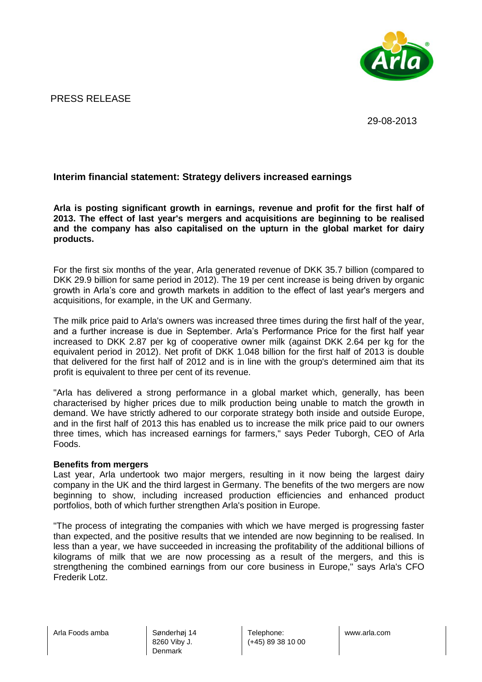

PRESS RELEASE

29-08-2013

# **Interim financial statement: Strategy delivers increased earnings**

**Arla is posting significant growth in earnings, revenue and profit for the first half of 2013. The effect of last year's mergers and acquisitions are beginning to be realised and the company has also capitalised on the upturn in the global market for dairy products.**

For the first six months of the year, Arla generated revenue of DKK 35.7 billion (compared to DKK 29.9 billion for same period in 2012). The 19 per cent increase is being driven by organic growth in Arla's core and growth markets in addition to the effect of last year's mergers and acquisitions, for example, in the UK and Germany.

The milk price paid to Arla's owners was increased three times during the first half of the year, and a further increase is due in September. Arla's Performance Price for the first half year increased to DKK 2.87 per kg of cooperative owner milk (against DKK 2.64 per kg for the equivalent period in 2012). Net profit of DKK 1.048 billion for the first half of 2013 is double that delivered for the first half of 2012 and is in line with the group's determined aim that its profit is equivalent to three per cent of its revenue.

"Arla has delivered a strong performance in a global market which, generally, has been characterised by higher prices due to milk production being unable to match the growth in demand. We have strictly adhered to our corporate strategy both inside and outside Europe, and in the first half of 2013 this has enabled us to increase the milk price paid to our owners three times, which has increased earnings for farmers," says Peder Tuborgh, CEO of Arla Foods.

#### **Benefits from mergers**

Last year, Arla undertook two major mergers, resulting in it now being the largest dairy company in the UK and the third largest in Germany. The benefits of the two mergers are now beginning to show, including increased production efficiencies and enhanced product portfolios, both of which further strengthen Arla's position in Europe.

"The process of integrating the companies with which we have merged is progressing faster than expected, and the positive results that we intended are now beginning to be realised. In less than a year, we have succeeded in increasing the profitability of the additional billions of kilograms of milk that we are now processing as a result of the mergers, and this is strengthening the combined earnings from our core business in Europe," says Arla's CFO Frederik Lotz.

Arla Foods amba **Sønderhøj** 14

8260 Viby J. Denmark

Telephone: (+45) 89 38 10 00 www.arla.com